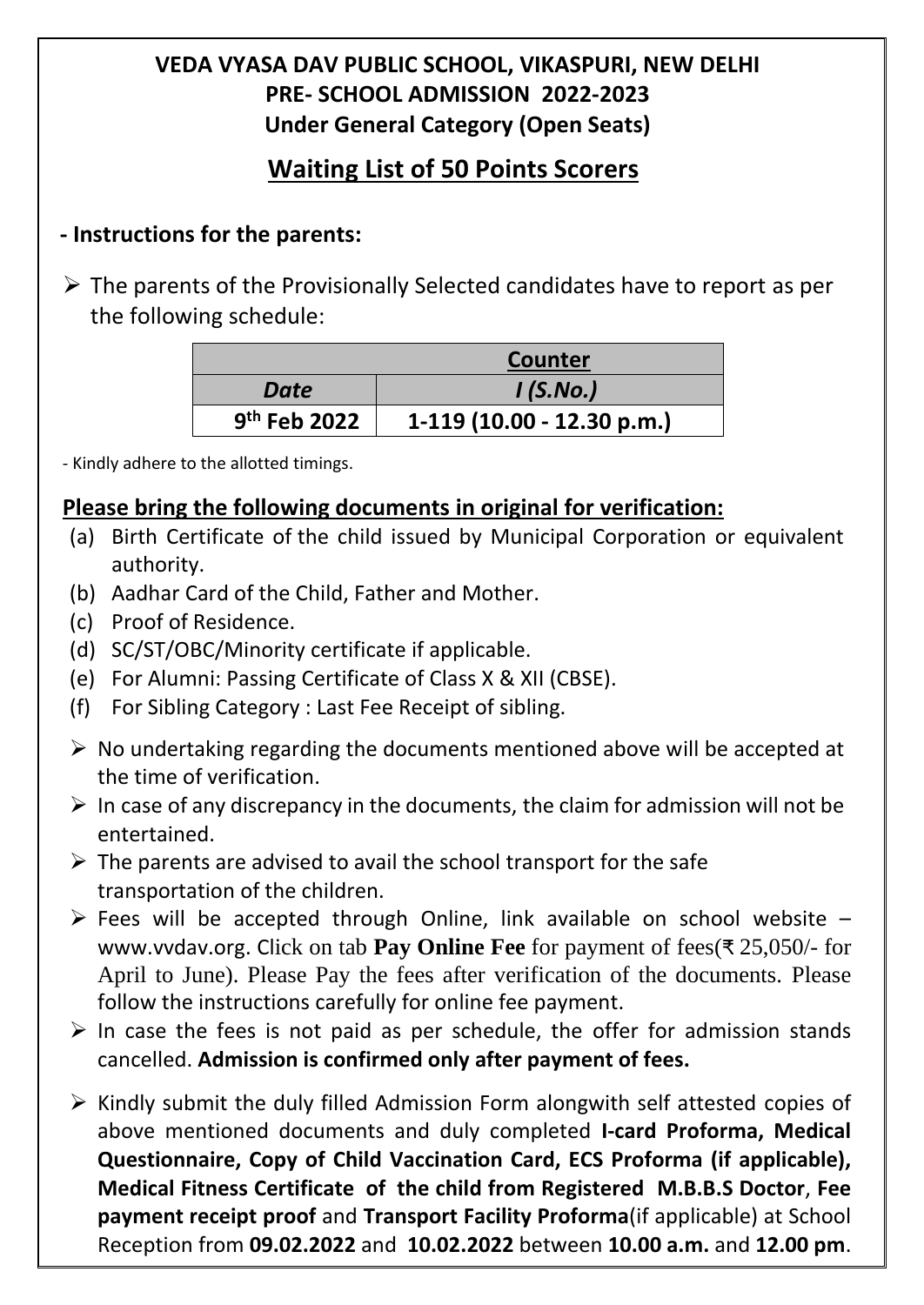# **VEDA VYASA DAV PUBLIC SCHOOL, VIKASPURI, NEW DELHI PRE- SCHOOL ADMISSION 2022-2023 Under General Category (Open Seats)**

# **Waiting List of 50 Points Scorers**

### **- Instructions for the parents:**

 $\triangleright$  The parents of the Provisionally Selected candidates have to report as per the following schedule:

|                          | Counter                    |  |  |
|--------------------------|----------------------------|--|--|
| Date                     | I(S.No.)                   |  |  |
| 9 <sup>th</sup> Feb 2022 | 1-119 (10.00 - 12.30 p.m.) |  |  |

- Kindly adhere to the allotted timings.

### **Please bring the following documents in original for verification:**

- (a) Birth Certificate of the child issued by Municipal Corporation or equivalent authority.
- (b) Aadhar Card of the Child, Father and Mother.
- (c) Proof of Residence.
- (d) SC/ST/OBC/Minority certificate if applicable.
- (e) For Alumni: Passing Certificate of Class X & XII (CBSE).
- (f) For Sibling Category : Last Fee Receipt of sibling.
- $\triangleright$  No undertaking regarding the documents mentioned above will be accepted at the time of verification.
- $\triangleright$  In case of any discrepancy in the documents, the claim for admission will not be entertained.
- $\triangleright$  The parents are advised to avail the school transport for the safe transportation of the children.
- $\triangleright$  Fees will be accepted through Online, link available on school website [www.vvdav.org.](http://www.vvdav.org/) Click on tab **Pay Online Fee** for payment of fees(₹ 25,050/- for April to June). Please Pay the fees after verification of the documents. Please follow the instructions carefully for online fee payment.
- $\triangleright$  In case the fees is not paid as per schedule, the offer for admission stands cancelled. **Admission is confirmed only after payment of fees.**
- $\triangleright$  Kindly submit the duly filled Admission Form alongwith self attested copies of above mentioned documents and duly completed **I-card Proforma, Medical Questionnaire, Copy of Child Vaccination Card, ECS Proforma (if applicable), Medical Fitness Certificate of the child from Registered M.B.B.S Doctor**, **Fee payment receipt proof** and **Transport Facility Proforma**(if applicable) at School Reception from **09.02.2022** and **10.02.2022** between **10.00 a.m.** and **12.00 pm**.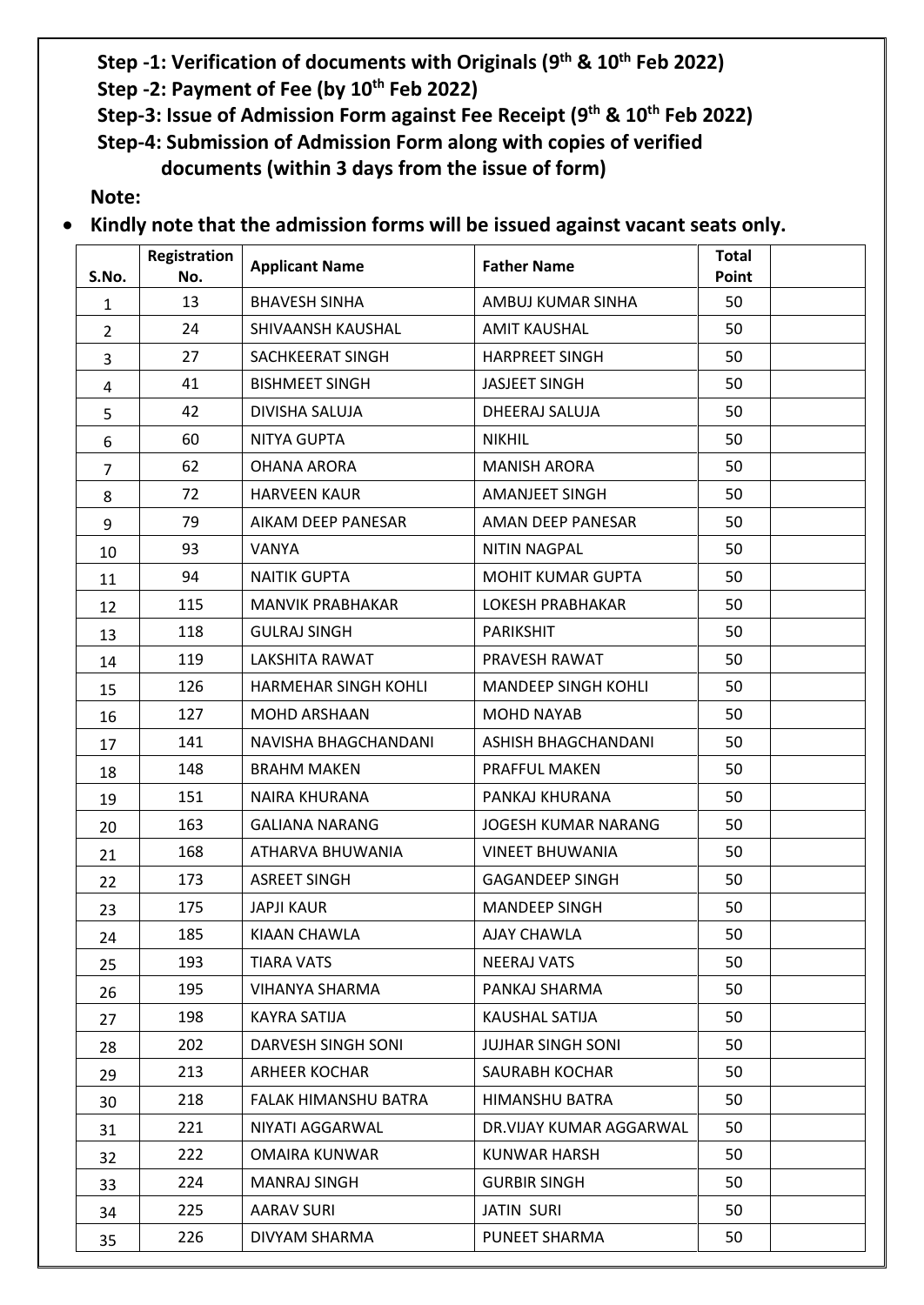#### **Step -1: Verification of documents with Originals (9 th & 10th Feb 2022)**

- **Step -2: Payment of Fee (by 10th Feb 2022)**
- **Step-3: Issue of Admission Form against Fee Receipt (9 th & 10th Feb 2022)**

**Step-4: Submission of Admission Form along with copies of verified documents (within 3 days from the issue of form)**

**Note:**

**Kindly note that the admission forms will be issued against vacant seats only.**

| S.No.          | <b>Registration</b><br>No. | <b>Applicant Name</b>       | <b>Father Name</b>         | <b>Total</b><br>Point |
|----------------|----------------------------|-----------------------------|----------------------------|-----------------------|
| $\mathbf{1}$   | 13                         | <b>BHAVESH SINHA</b>        | AMBUJ KUMAR SINHA          | 50                    |
| $\overline{2}$ | 24                         | SHIVAANSH KAUSHAL           | <b>AMIT KAUSHAL</b>        | 50                    |
| 3              | 27                         | SACHKEERAT SINGH            | <b>HARPREET SINGH</b>      | 50                    |
| 4              | 41                         | <b>BISHMEET SINGH</b>       | <b>JASJEET SINGH</b>       | 50                    |
| 5              | 42                         | DIVISHA SALUJA              | DHEERAJ SALUJA             | 50                    |
| 6              | 60                         | <b>NITYA GUPTA</b>          | <b>NIKHIL</b>              | 50                    |
| $\overline{7}$ | 62                         | <b>OHANA ARORA</b>          | <b>MANISH ARORA</b>        | 50                    |
| 8              | 72                         | <b>HARVEEN KAUR</b>         | <b>AMANJEET SINGH</b>      | 50                    |
| 9              | 79                         | AIKAM DEEP PANESAR          | AMAN DEEP PANESAR          | 50                    |
| 10             | 93                         | VANYA                       | <b>NITIN NAGPAL</b>        | 50                    |
| 11             | 94                         | <b>NAITIK GUPTA</b>         | <b>MOHIT KUMAR GUPTA</b>   | 50                    |
| 12             | 115                        | MANVIK PRABHAKAR            | <b>LOKESH PRABHAKAR</b>    | 50                    |
| 13             | 118                        | <b>GULRAJ SINGH</b>         | <b>PARIKSHIT</b>           | 50                    |
| 14             | 119                        | <b>LAKSHITA RAWAT</b>       | PRAVESH RAWAT              | 50                    |
| 15             | 126                        | <b>HARMEHAR SINGH KOHLI</b> | <b>MANDEEP SINGH KOHLI</b> | 50                    |
| 16             | 127                        | <b>MOHD ARSHAAN</b>         | <b>MOHD NAYAB</b>          | 50                    |
| 17             | 141                        | NAVISHA BHAGCHANDANI        | ASHISH BHAGCHANDANI        | 50                    |
| 18             | 148                        | <b>BRAHM MAKEN</b>          | PRAFFUL MAKEN              | 50                    |
| 19             | 151                        | <b>NAIRA KHURANA</b>        | PANKAJ KHURANA             | 50                    |
| 20             | 163                        | <b>GALIANA NARANG</b>       | <b>JOGESH KUMAR NARANG</b> | 50                    |
| 21             | 168                        | ATHARVA BHUWANIA            | <b>VINEET BHUWANIA</b>     | 50                    |
| 22             | 173                        | <b>ASREET SINGH</b>         | <b>GAGANDEEP SINGH</b>     | 50                    |
| 23             | 175                        | <b>JAPJI KAUR</b>           | <b>MANDEEP SINGH</b>       | 50                    |
| 24             | 185                        | KIAAN CHAWLA                | AJAY CHAWLA                | 50                    |
| 25             | 193                        | <b>TIARA VATS</b>           | <b>NEERAJ VATS</b>         | 50                    |
| 26             | 195                        | <b>VIHANYA SHARMA</b>       | PANKAJ SHARMA              | 50                    |
| 27             | 198                        | <b>KAYRA SATIJA</b>         | KAUSHAL SATIJA             | 50                    |
| 28             | 202                        | DARVESH SINGH SONI          | <b>JUJHAR SINGH SONI</b>   | 50                    |
| 29             | 213                        | <b>ARHEER KOCHAR</b>        | <b>SAURABH KOCHAR</b>      | 50                    |
| 30             | 218                        | FALAK HIMANSHU BATRA        | HIMANSHU BATRA             | 50                    |
| 31             | 221                        | NIYATI AGGARWAL             | DR.VIJAY KUMAR AGGARWAL    | 50                    |
| 32             | 222                        | OMAIRA KUNWAR               | KUNWAR HARSH               | 50                    |
| 33             | 224                        | <b>MANRAJ SINGH</b>         | <b>GURBIR SINGH</b>        | 50                    |
| 34             | 225                        | AARAV SURI                  | <b>JATIN SURI</b>          | 50                    |
| 35             | 226                        | DIVYAM SHARMA               | PUNEET SHARMA              | 50                    |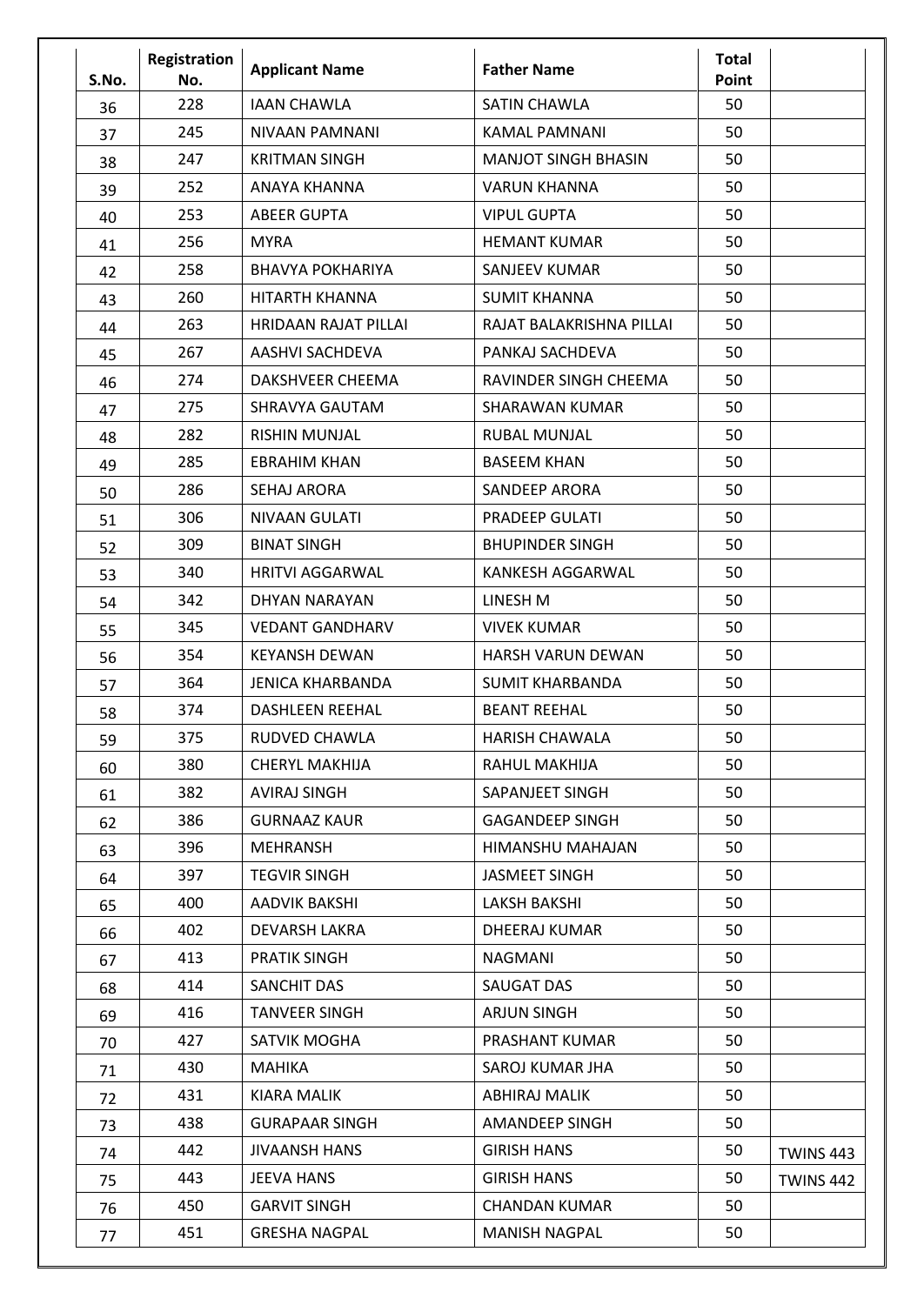| S.No. | Registration<br>No. | <b>Applicant Name</b>       | <b>Father Name</b>         | <b>Total</b><br>Point |                  |
|-------|---------------------|-----------------------------|----------------------------|-----------------------|------------------|
| 36    | 228                 | <b>IAAN CHAWLA</b>          | <b>SATIN CHAWLA</b>        | 50                    |                  |
| 37    | 245                 | NIVAAN PAMNANI              | KAMAL PAMNANI              | 50                    |                  |
| 38    | 247                 | <b>KRITMAN SINGH</b>        | <b>MANJOT SINGH BHASIN</b> | 50                    |                  |
| 39    | 252                 | ANAYA KHANNA                | <b>VARUN KHANNA</b>        | 50                    |                  |
| 40    | 253                 | <b>ABEER GUPTA</b>          | <b>VIPUL GUPTA</b>         | 50                    |                  |
| 41    | 256                 | <b>MYRA</b>                 | <b>HEMANT KUMAR</b>        | 50                    |                  |
| 42    | 258                 | <b>BHAVYA POKHARIYA</b>     | SANJEEV KUMAR              | 50                    |                  |
| 43    | 260                 | HITARTH KHANNA              | <b>SUMIT KHANNA</b>        | 50                    |                  |
| 44    | 263                 | <b>HRIDAAN RAJAT PILLAI</b> | RAJAT BALAKRISHNA PILLAI   | 50                    |                  |
| 45    | 267                 | <b>AASHVI SACHDEVA</b>      | PANKAJ SACHDEVA            | 50                    |                  |
| 46    | 274                 | DAKSHVEER CHEEMA            | RAVINDER SINGH CHEEMA      | 50                    |                  |
| 47    | 275                 | SHRAVYA GAUTAM              | <b>SHARAWAN KUMAR</b>      | 50                    |                  |
| 48    | 282                 | <b>RISHIN MUNJAL</b>        | <b>RUBAL MUNJAL</b>        | 50                    |                  |
| 49    | 285                 | <b>EBRAHIM KHAN</b>         | <b>BASEEM KHAN</b>         | 50                    |                  |
| 50    | 286                 | <b>SEHAJ ARORA</b>          | <b>SANDEEP ARORA</b>       | 50                    |                  |
| 51    | 306                 | <b>NIVAAN GULATI</b>        | <b>PRADEEP GULATI</b>      | 50                    |                  |
| 52    | 309                 | <b>BINAT SINGH</b>          | <b>BHUPINDER SINGH</b>     | 50                    |                  |
| 53    | 340                 | <b>HRITVI AGGARWAL</b>      | KANKESH AGGARWAL           | 50                    |                  |
| 54    | 342                 | DHYAN NARAYAN               | LINESH M                   | 50                    |                  |
| 55    | 345                 | <b>VEDANT GANDHARV</b>      | <b>VIVEK KUMAR</b>         | 50                    |                  |
| 56    | 354                 | <b>KEYANSH DEWAN</b>        | <b>HARSH VARUN DEWAN</b>   | 50                    |                  |
| 57    | 364                 | <b>JENICA KHARBANDA</b>     | <b>SUMIT KHARBANDA</b>     | 50                    |                  |
| 58    | 374                 | <b>DASHLEEN REEHAL</b>      | <b>BEANT REEHAL</b>        | 50                    |                  |
| 59    | 375                 | RUDVED CHAWLA               | HARISH CHAWALA             | 50                    |                  |
| 60    | 380                 | <b>CHERYL MAKHIJA</b>       | RAHUL MAKHIJA              | 50                    |                  |
| 61    | 382                 | <b>AVIRAJ SINGH</b>         | SAPANJEET SINGH            | 50                    |                  |
| 62    | 386                 | <b>GURNAAZ KAUR</b>         | <b>GAGANDEEP SINGH</b>     | 50                    |                  |
| 63    | 396                 | MEHRANSH                    | HIMANSHU MAHAJAN           | 50                    |                  |
| 64    | 397                 | <b>TEGVIR SINGH</b>         | <b>JASMEET SINGH</b>       | 50                    |                  |
| 65    | 400                 | AADVIK BAKSHI               | <b>LAKSH BAKSHI</b>        | 50                    |                  |
| 66    | 402                 | <b>DEVARSH LAKRA</b>        | DHEERAJ KUMAR              | 50                    |                  |
| 67    | 413                 | <b>PRATIK SINGH</b>         | <b>NAGMANI</b>             | 50                    |                  |
| 68    | 414                 | SANCHIT DAS                 | SAUGAT DAS                 | 50                    |                  |
| 69    | 416                 | <b>TANVEER SINGH</b>        | <b>ARJUN SINGH</b>         | 50                    |                  |
| 70    | 427                 | SATVIK MOGHA                | PRASHANT KUMAR             | 50                    |                  |
| 71    | 430                 | MAHIKA                      | SAROJ KUMAR JHA            | 50                    |                  |
| 72    | 431                 | <b>KIARA MALIK</b>          | <b>ABHIRAJ MALIK</b>       | 50                    |                  |
| 73    | 438                 | <b>GURAPAAR SINGH</b>       | AMANDEEP SINGH             | 50                    |                  |
| 74    | 442                 | <b>JIVAANSH HANS</b>        | <b>GIRISH HANS</b>         | 50                    | <b>TWINS 443</b> |
| 75    | 443                 | JEEVA HANS                  | <b>GIRISH HANS</b>         | 50                    | <b>TWINS 442</b> |
| 76    | 450                 | <b>GARVIT SINGH</b>         | <b>CHANDAN KUMAR</b>       | 50                    |                  |
| 77    | 451                 | <b>GRESHA NAGPAL</b>        | <b>MANISH NAGPAL</b>       | 50                    |                  |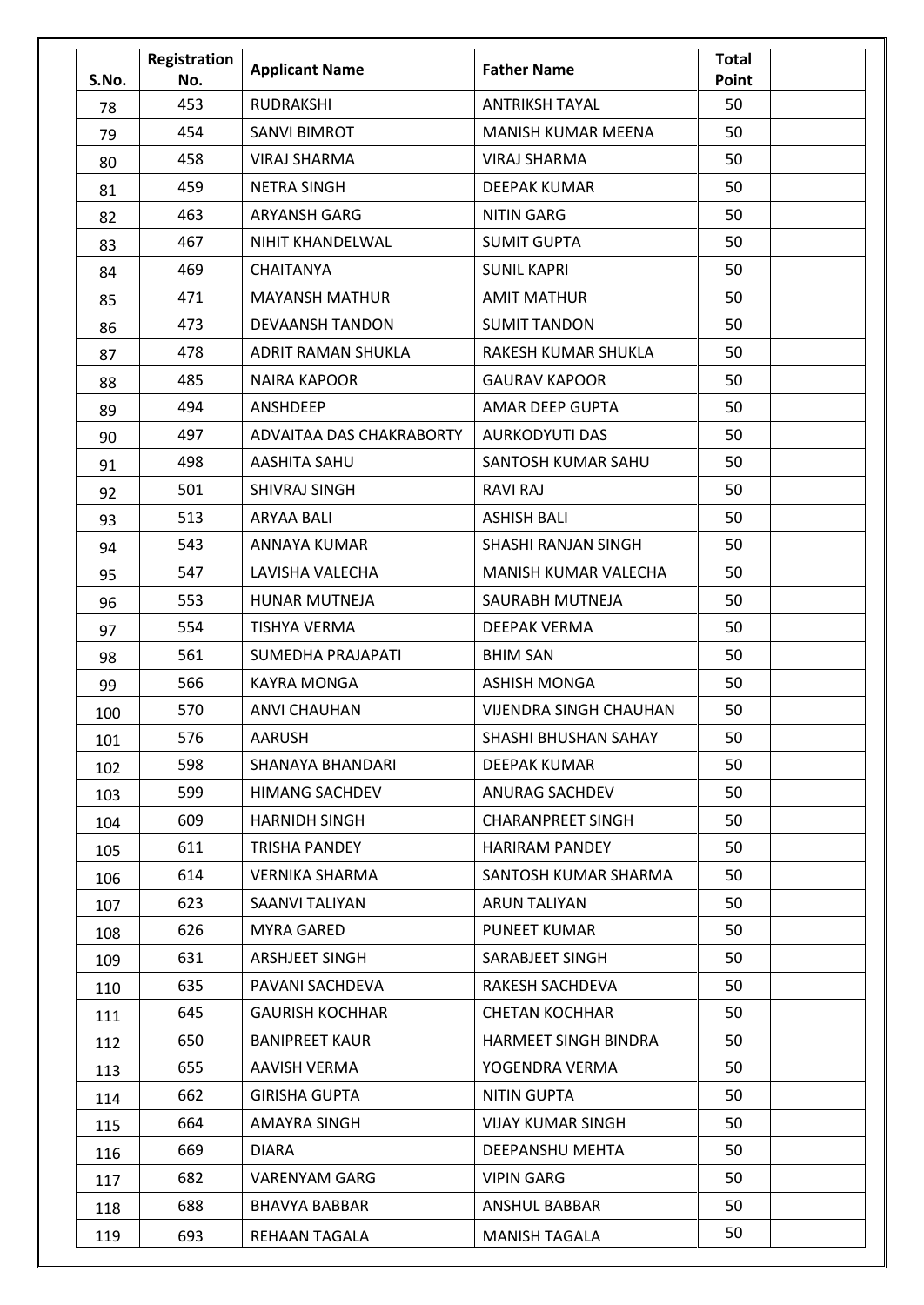| S.No. | Registration<br>No. | <b>Applicant Name</b>     | <b>Father Name</b>            | <b>Total</b><br>Point |  |
|-------|---------------------|---------------------------|-------------------------------|-----------------------|--|
| 78    | 453                 | <b>RUDRAKSHI</b>          | <b>ANTRIKSH TAYAL</b>         | 50                    |  |
| 79    | 454                 | <b>SANVI BIMROT</b>       | <b>MANISH KUMAR MEENA</b>     | 50                    |  |
| 80    | 458                 | <b>VIRAJ SHARMA</b>       | <b>VIRAJ SHARMA</b>           | 50                    |  |
| 81    | 459                 | <b>NETRA SINGH</b>        | <b>DEEPAK KUMAR</b>           | 50                    |  |
| 82    | 463                 | <b>ARYANSH GARG</b>       | <b>NITIN GARG</b>             | 50                    |  |
| 83    | 467                 | NIHIT KHANDELWAL          | <b>SUMIT GUPTA</b>            | 50                    |  |
| 84    | 469                 | <b>CHAITANYA</b>          | <b>SUNIL KAPRI</b>            | 50                    |  |
| 85    | 471                 | <b>MAYANSH MATHUR</b>     | <b>AMIT MATHUR</b>            | 50                    |  |
| 86    | 473                 | <b>DEVAANSH TANDON</b>    | <b>SUMIT TANDON</b>           | 50                    |  |
| 87    | 478                 | <b>ADRIT RAMAN SHUKLA</b> | RAKESH KUMAR SHUKLA           | 50                    |  |
| 88    | 485                 | <b>NAIRA KAPOOR</b>       | <b>GAURAV KAPOOR</b>          | 50                    |  |
| 89    | 494                 | ANSHDEEP                  | AMAR DEEP GUPTA               | 50                    |  |
| 90    | 497                 | ADVAITAA DAS CHAKRABORTY  | <b>AURKODYUTI DAS</b>         | 50                    |  |
| 91    | 498                 | <b>AASHITA SAHU</b>       | SANTOSH KUMAR SAHU            | 50                    |  |
| 92    | 501                 | SHIVRAJ SINGH             | <b>RAVI RAJ</b>               | 50                    |  |
| 93    | 513                 | ARYAA BALI                | <b>ASHISH BALI</b>            | 50                    |  |
| 94    | 543                 | ANNAYA KUMAR              | SHASHI RANJAN SINGH           | 50                    |  |
| 95    | 547                 | LAVISHA VALECHA           | MANISH KUMAR VALECHA          | 50                    |  |
| 96    | 553                 | <b>HUNAR MUTNEJA</b>      | SAURABH MUTNEJA               | 50                    |  |
| 97    | 554                 | <b>TISHYA VERMA</b>       | <b>DEEPAK VERMA</b>           | 50                    |  |
| 98    | 561                 | <b>SUMEDHA PRAJAPATI</b>  | <b>BHIM SAN</b>               | 50                    |  |
| 99    | 566                 | <b>KAYRA MONGA</b>        | <b>ASHISH MONGA</b>           | 50                    |  |
| 100   | 570                 | <b>ANVI CHAUHAN</b>       | <b>VIJENDRA SINGH CHAUHAN</b> | 50                    |  |
| 101   | 576                 | <b>AARUSH</b>             | SHASHI BHUSHAN SAHAY          | 50                    |  |
| 102   | 598                 | SHANAYA BHANDARI          | DEEPAK KUMAR                  | 50                    |  |
| 103   | 599                 | <b>HIMANG SACHDEV</b>     | ANURAG SACHDEV                | 50                    |  |
| 104   | 609                 | <b>HARNIDH SINGH</b>      | <b>CHARANPREET SINGH</b>      | 50                    |  |
| 105   | 611                 | TRISHA PANDEY             | <b>HARIRAM PANDEY</b>         | 50                    |  |
| 106   | 614                 | <b>VERNIKA SHARMA</b>     | SANTOSH KUMAR SHARMA          | 50                    |  |
| 107   | 623                 | SAANVI TALIYAN            | <b>ARUN TALIYAN</b>           | 50                    |  |
| 108   | 626                 | <b>MYRA GARED</b>         | PUNEET KUMAR                  | 50                    |  |
| 109   | 631                 | ARSHJEET SINGH            | SARABJEET SINGH               | 50                    |  |
| 110   | 635                 | PAVANI SACHDEVA           | RAKESH SACHDEVA               | 50                    |  |
| 111   | 645                 | <b>GAURISH KOCHHAR</b>    | <b>CHETAN KOCHHAR</b>         | 50                    |  |
| 112   | 650                 | <b>BANIPREET KAUR</b>     | HARMEET SINGH BINDRA          | 50                    |  |
| 113   | 655                 | AAVISH VERMA              | YOGENDRA VERMA                | 50                    |  |
| 114   | 662                 | <b>GIRISHA GUPTA</b>      | <b>NITIN GUPTA</b>            | 50                    |  |
| 115   | 664                 | AMAYRA SINGH              | VIJAY KUMAR SINGH             | 50                    |  |
| 116   | 669                 | <b>DIARA</b>              | DEEPANSHU MEHTA               | 50                    |  |
| 117   | 682                 | VARENYAM GARG             | <b>VIPIN GARG</b>             | 50                    |  |
| 118   | 688                 | <b>BHAVYA BABBAR</b>      | ANSHUL BABBAR                 | 50                    |  |
| 119   | 693                 | <b>REHAAN TAGALA</b>      | <b>MANISH TAGALA</b>          | 50                    |  |